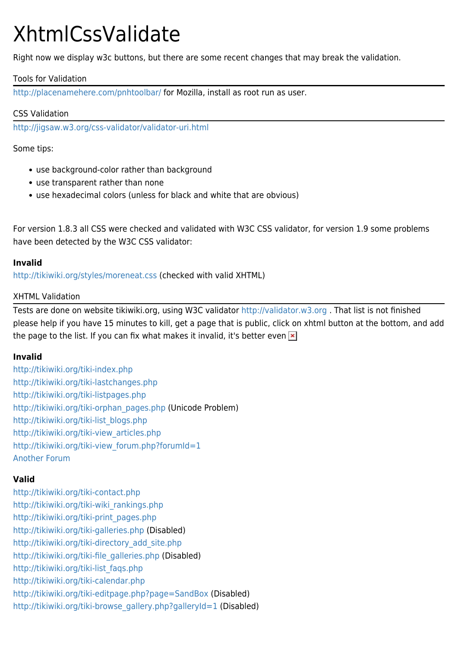# XhtmlCssValidate

Right now we display w3c buttons, but there are some recent changes that may break the validation.

# Tools for Validation

<http://placenamehere.com/pnhtoolbar/>for Mozilla, install as root run as user.

## CSS Validation

<http://jigsaw.w3.org/css-validator/validator-uri.html>

Some tips:

- use background-color rather than background
- use transparent rather than none
- use hexadecimal colors (unless for black and white that are obvious)

For version 1.8.3 all CSS were checked and validated with W3C CSS validator, for version 1.9 some problems have been detected by the W3C CSS validator:

## **Invalid**

<http://tikiwiki.org/styles/moreneat.css> (checked with valid XHTML)

## XHTML Validation

Tests are done on website tikiwiki.org, using W3C validator <http://validator.w3.org> . That list is not finished please help if you have 15 minutes to kill, get a page that is public, click on xhtml button at the bottom, and add the page to the list. If you can fix what makes it invalid, it's better even  $\mathbf{x}$ 

#### **Invalid**

<http://tikiwiki.org/tiki-index.php> <http://tikiwiki.org/tiki-lastchanges.php> <http://tikiwiki.org/tiki-listpages.php> [http://tikiwiki.org/tiki-orphan\\_pages.php](http://tikiwiki.org/tiki-orphan_pages.php) (Unicode Problem) [http://tikiwiki.org/tiki-list\\_blogs.php](http://tikiwiki.org/tiki-list_blogs.php) [http://tikiwiki.org/tiki-view\\_articles.php](http://tikiwiki.org/tiki-view_articles.php) [http://tikiwiki.org/tiki-view\\_forum.php?forumId=1](http://tikiwiki.org/tiki-view_forum.php?forumId=1) [Another Forum](http://tikiwiki.org/tiki-view_forum_thread.php?comments_parentId=85&topics_threshold=0&topics_offset=0&topics_sort_mode=commentDate_desc&topics_find=&forumId=1)

# **Valid**

<http://tikiwiki.org/tiki-contact.php> [http://tikiwiki.org/tiki-wiki\\_rankings.php](http://tikiwiki.org/tiki-wiki_rankings.php) [http://tikiwiki.org/tiki-print\\_pages.php](http://tikiwiki.org/tiki-print_pages.php) <http://tikiwiki.org/tiki-galleries.php> (Disabled) [http://tikiwiki.org/tiki-directory\\_add\\_site.php](http://tikiwiki.org/tiki-directory_add_site.php) [http://tikiwiki.org/tiki-file\\_galleries.php](http://tikiwiki.org/tiki-file_galleries.php) (Disabled) [http://tikiwiki.org/tiki-list\\_faqs.php](http://tikiwiki.org/tiki-list_faqs.php) <http://tikiwiki.org/tiki-calendar.php> <http://tikiwiki.org/tiki-editpage.php?page=SandBox>(Disabled) [http://tikiwiki.org/tiki-browse\\_gallery.php?galleryId=1](http://tikiwiki.org/tiki-browse_gallery.php?galleryId=1) (Disabled)